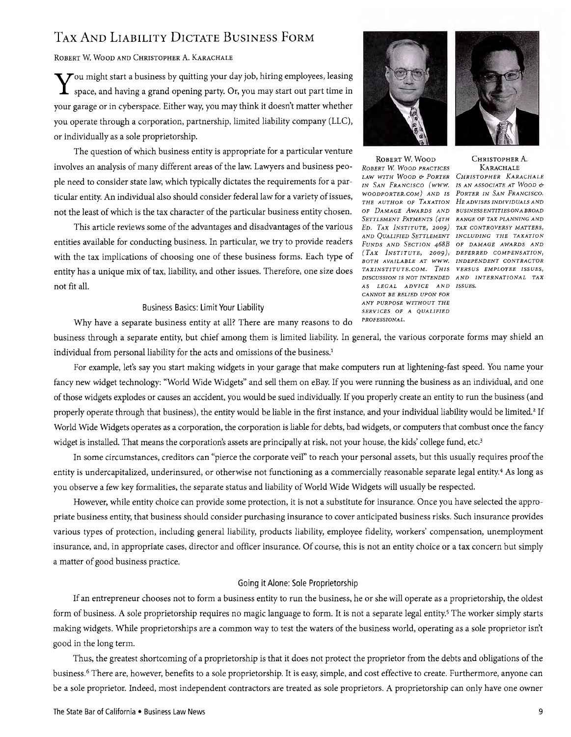# TAX AND LIABILITY DICTATE BUSINESS FORM TAX AND LIABILITY DICTATE BUSINESS FORM

Robert W. Wood and Christopher A. Karachale

 $\sum$   $\sigma$  might start a business by quitting your day job, hiring employees, leasing  $\blacktriangleright$ ou might start a business by quitting your day job, hiring employees, leasing<br>. space, and having a grand opening party. Or, you may start out part time in your garage or in cyberspace. Either way, you may think it doesn't matter whether your garage or in cyberspace. Either way, you may think it doesn't matter whether you operate through a corporation, partnership, limited liability company (LLC), you operate through a corporation, partnership, limited liability company (LLC), or individually as a sole proprietorship. or individually as a sole proprietorship.

The question of which business entity is appropriate for a particular venture The question of which business entity is appropriate for a particular venture involves an analysis of many different areas of the law. Lawyers and business peo-involves an analysis of many different areas of the law. Lawyers and business people need to consider state law, which typically dictates the requirements for a par-ple need to consider state law, which typically dictates the requirements for a particular entity. An individual also should consider federal law for a variety of issues, ticular entity. An individual also should consider federal law for a variety of issues, not the least of which is the tax character of the particular business entity chosen. not the least of which is the tax character of the particular business entity chosen.

This article reviews some of the advantages and disadvantages of the various entities available for conducting business. In particular, we try to provide readers with the tax implications of choosing one of these business forms. Each type of entity has a unique mix of tax, liability, and other issues. Therefore, one size does not fit all. This article reviews some of the advantages and disadvantages and disadvantages and disadvantages of the various entities available for contract to provide readers and particular, we try the provider readers of the conduction  $w$  is tax implications of conducting one of the pure  $w$  the  $y$  to  $y$  to the relative

## Business Basics: Limit Your Liability

Why have a separate business entity at all? There are many reasons to do *PROFESSIONAL*.

business through a separate entity, but chief among them is limited liability. In general, the various corporate forms may shield an individual from personal liability for the acts and omissions of the business.<sup>1</sup>

For example, let's say you start making widgets in your garage that make computers run at lightening-fast speed. You name your fancy new widget technology: "World Wide Widgets" and sell them on eBay. If you were running the business as an individual, and one of those widgets explodes or causes an accident, you would be sued individually. If you properly create an entity to run the business (and properly operate through that business), the entity would be liable in the first instance, and your individual liability would be limited.<sup>2</sup> If World Wide Widgets operates as a corporation, the corporation is liable for debts, bad widgets, or computers that combust once the fancy widget is installed. That means the corporation's assets are principally at risk, not your house, the kids' college fund, etc.<sup>3</sup>

In some circumstances, creditors can "pierce the corporate veil" to reach your personal assets, but this usually requires proof the entity is undercapitalized, underinsured, or otherwise not functioning as a commercially reasonable separate legal entity.<sup>4</sup> As long as you observe a few key formalities, the separate status and liability of World Wide Widgets will usually be respected.

However, while entity choice can provide some protection, it is not a substitute for insurance. Once you have selected the appropriate business entity, that business should consider purchasing insurance to cover anticipated business risks. Such insurance provides .<br>various types of protection, including general liability, products liability, employee fidelity, workers' compensation, unemployment insurance, and, in appropriate cases, director and officer insurance. Of course, this is not an entity choice or a tax concern but simply a matter of good business practice.

#### Going it Alone: Sole Proprietorship form of business. A sole proprietorship requires no magic language to form. It is not a separate legal entity.5 The worker simply starts

If an entrepreneur chooses not to form a business entity to run the business, he or she will operate as a proprietorship, the oldest form of business. A sole proprietorship requires no magic language to form. It is not a separate legal entity.<sup>5</sup> The worker simply starts making widgets. While proprietorships are a common way to test the waters of the business world, operating as a sole proprietor isn't good in the long term. 6 There are, however, benefits to a sole proprietorship. It is easy, simple, and cost effective to create. Furthermore, anyone can

Thus, the greatest shortcoming of a proprietorship is that it does not protect the proprietor from the debts and obligations of the business.6 There are, however, benefits to a sole proprietorship. It is easy, simple, and cost effective to create. Furthermore, anyone can .<br>be a sole proprietor. Indeed, most independent contractors are treated as sole proprietors. A proprietorship can only have one owner



ROBERT W. WOOD CHRISTOPHER A. ROBERT W. WOOD CHRISTOPHER A. *ROBERT W. WOOD PRACTICES* KARACHALE *ROBERT W WOOD PRACTICES* KARACHALE *LAW WITH WOOD* & *PORTER CHRISTOPHER KARACHALE LAW WITH WOOD* & *PORTER CHRISTOPHER KAR,tCHALE IN SAN FRANCISCO (WWW. IS AN ASSOCIATE AT WOOD & WOODPORTER.COM)* AND *IS PORTER IN SAN FRANCISCO. THE AUTHOR OF TAXATION HE ADVISES INDIVIDUALS AND* OF DAMAGE AWARDS AND BUSINESSENTITIES ON A BROAD Settlement Payments (4th) range of tax planning and *ED. TAX INSTITUTE, 2009) TAX CONTROVERSY MATTERS,* AND QUALIFIED SETTLEMENT INCLUDING THE TAXATION FUNDS AND SECTION 468B OF DAMAGE AWARDS AND (TAX INSTITUTE, 2009), DEFERRED COMPENSATION, BOTH AVAILABLE AT WWW. INDEPENDENT CONTRACTOR TAXINSTITUTE.COM. THIS VERSUS EMPLOYEE ISSUES, **DISCUSSION IS NOT INTENDED AND INTERNATIONAL TAX** AS *LEGAL* ADVICE AND ISSUES. *CANNOT BE RELIED UPON FOR ANY PURPOSE WITHOUT THE* SERVICES OF A *QUALIFIED IN WITH WOOD & LORIER* CHRISTOPHER AARACHAI

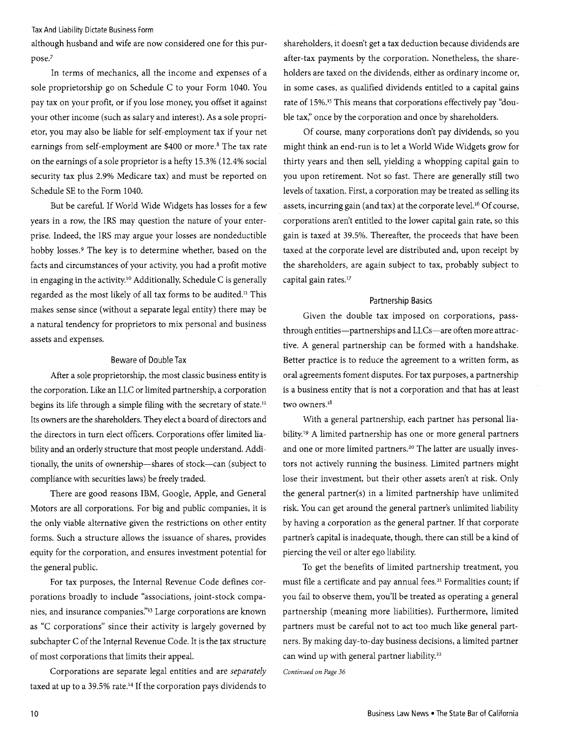Tax And Liability Dictate Business Form

although husband and wife are now considered one for this purpose?

In terms of mechanics, all the income and expenses of a sole proprietorship go on Schedule C to your Form 1040. You pay tax on your profit, or if you lose money, you offset it against your other income (such as salary and interest). As a sole proprietor, you may also be liable for self-employment tax if your net earnings from self-employment are \$400 or more.<sup>8</sup> The tax rate on the earnings of a sole proprietor is a hefty 15.3% (12.4% social security tax plus 2.9% Medicare tax) and must be reported on Schedule SE to the Form 1040.

But be careful. If World Wide Widgets has losses for a few years in a row, the IRS may question the nature of your enterprise. Indeed, the IRS may argue your losses are nondeductible hobby losses.<sup>9</sup> The key is to determine whether, based on the facts and circumstances of your activity, you had a profit motive in engaging in the activity.<sup>10</sup> Additionally, Schedule C is generally regarded as the most likely of all tax forms to be audited." This makes sense since (without a separate legal entity) there may be a natural tendency for proprietors to mix personal and business assets and expenses.

#### Beware of Double Tax

After a sole proprietorship, the most classic business entity is the corporation. Like an LLC or limited partnership, a corporation begins its life through a simple filing with the secretary of state. $12$ Its owners are the shareholders. They elect a board of directors and the directors in turn elect officers. Corporations offer limited liability and an orderly structure that most people understand. Additionally, the units of ownership-shares of stock-can (subject to compliance with securities laws) be freely traded.

There are good reasons IBM, Google, Apple, and General Motors are all corporations. For big and public companies, it is the only viable alternative given the restrictions on other entity forms. Such a structure allows the issuance of shares, provides equity for the corporation, and ensures investment potential for the general public.

For tax purposes, the Internal Revenue Code defines corporations broadly to include "associations, joint-stock companies, and insurance companies."<sup>13</sup> Large corporations are known as "c corporations" since their activity is largely governed by subchapter C of the Internal Revenue Code. It is the tax structure of most corporations that limits their appeal.

Corporations are separate legal entities and are *separately*  taxed at up to a 39.5% rate.14 If the corporation pays dividends to

shareholders, it doesn't get a tax deduction because dividends are after-tax payments by the corporation. Nonetheless, the shareholders are taxed on the dividends, either as ordinary income or, in some cases, as qualified dividends entitled to a capital gains rate of 15%.15 This means that corporations effectively pay "double tax," once by the corporation and once by shareholders.

Of course, many corporations don't pay dividends, so you might think an end-run is to let a World Wide Widgets grow for thirty years and then sell, yielding a whopping capital gain to you upon retirement. Not so fast. There are generally still two levels of taxation. First, a corporation may be treated as selling its assets, incurring gain (and tax) at the corporate level.<sup>16</sup> Of course, corporations aren't entitled to the lower capital gain rate, so this gain is taxed at 39.5%. Thereafter, the proceeds that have been taxed at the corporate level are distributed and, upon receipt by the shareholders, are again subject to tax, probably subject to capital gain rates.<sup>17</sup>

#### Partnership Basics

Given the double tax imposed on corporations, passthrough entities-partnerships and LLCs-are often more attractive. A general partnership can be formed with a handshake. Better practice is to reduce the agreement to a written form, as oral agreements foment disputes. For tax purposes, a partnership is a business entity that is not a corporation and that has at least two owners.<sup>18</sup>

With a general partnership, each partner has personal liability.19 A limited partnership has one or more general partners and one or more limited partners.<sup>20</sup> The latter are usually investors not actively running the business. Limited partners might lose their investment, but their other assets aren't at risk. Only the general partner(s) in a limited partnership have unlimited risk. You can get around the general partner's unlimited liability by having a corporation as the general partner. If that corporate partner's capital is inadequate, though, there can still be a kind of piercing the veil or alter ego liability.

To get the benefits of limited partnership treatment, you must flle a certificate and pay annual fees. 21 Formalities count; if you fail to observe them, you'll be treated as operating a general partnership (meaning more liabilities). Furthermore, limited partners must be careful not to act too much like general partners. By making day-to-day business decisions, a limited partner can wind up with general partner liability.<sup>22</sup>

*Continued on Page 36*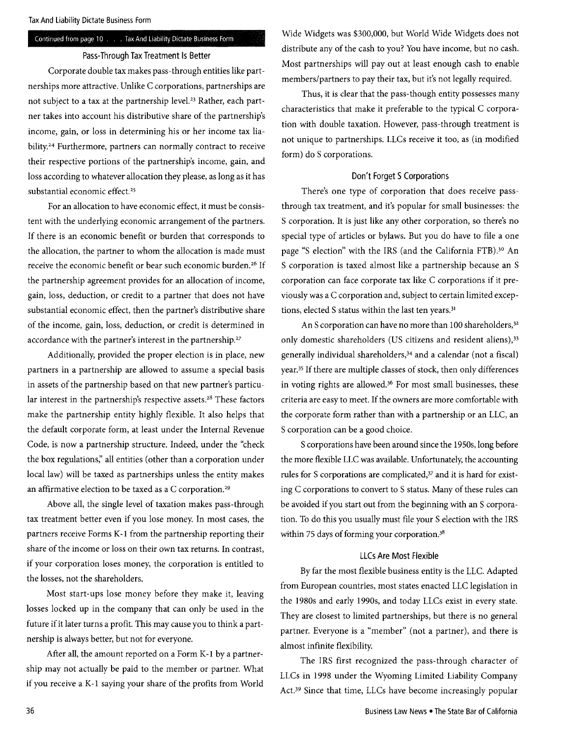#### Continued from page 10 . . . Tax And Liability Dictate Business Form

#### Pass-Through Tax Treatment Is Better

Corporate double tax makes pass-through entities like partnerships more attractive. Unlike C corporations, partnerships are not subject to a tax at the partnership level.<sup>23</sup> Rather, each partner takes into account his distributive share of the partnership's income, gain, or loss in determining his or her income tax liability.<sup>24</sup> Furthermore, partners can normally contract to receive their respective portions of the partnership's income, gain, and loss according to whatever allocation they please, as long as it has substantial economic effect.<sup>25</sup>

For an allocation to have economic effect, it must be consistent with the underlying economic arrangement of the partners. If there is an economic benefit or burden that corresponds to the allocation, the partner to whom the allocation is made must receive the economic benefit or bear such economic burden.<sup>26</sup> If the partnership agreement provides for an allocation of income, gain, loss, deduction, or credit to a partner that does not have substantial economic effect, then the partner's distributive share of the income, gain, loss, deduction, or credit is determined in accordance with the partner's interest in the partnership.<sup>27</sup>

Additionally, provided the proper election is in place, new partners in a partnership are allowed to assume a special basis in assets of the partnership based on that new partner's particular interest in the partnership's respective assets.<sup>28</sup> These factors make the partnership entity highly flexible. It also helps that the default corporate form, at least under the Internal Revenue Code, is now a partnership structure. Indeed, under the "check the box regulations;' all entities (other than a corporation under local law) will be taxed as partnerships unless the entity makes an affirmative election to be taxed as a C corporation.29

Above all, the single level of taxation makes pass-through tax treatment better even if you lose money. In most cases, the partners receive Forms K-1 from the partnership reporting their share of the income or loss on their own tax returns. In contrast, if your corporation loses money, the corporation is entitled to the losses, not the shareholders.

Most start-ups lose money before they make it, leaving losses locked up in the company that can only be used in the future if it later turns a profit. This may cause you to think a partnership is always better, but not for everyone.

After all, the amount reported on a Form K-1 by a partnership may not actually be paid to the member or partner. What if you receive a K-1 saying your share of the profits from World Wide Widgets was \$300,000, but World Wide Widgets does not distribute any of the cash to you? You have income, but no cash. Most partnerships will payout at least enough cash to enable members/partners to pay their tax, but it's not legally required.

Thus, it is clear that the pass-though entity possesses many characteristics that make it preferable to the typical C corporation with double taxation. However, pass-through treatment is not unique to partnerships. LLCs receive it too, as (in modified form) do S corporations.

#### Don't Forget S Corporations

There's one type of corporation that does receive passthrough tax treatment, and it's popular for small businesses: the S corporation. It is just like any other corporation, so there's no special type of articles or bylaws. But you do have to file a one page "S election" with the IRS (and the California FTB).<sup>30</sup> An S corporation is taxed almost like a partnership because an S corporation can face corporate tax like C corporations if it previously was a C corporation and, subject to certain limited exceptions, elected S status within the last ten years.<sup>31</sup>

An S corporation can have no more than 100 shareholders,<sup>32</sup> only domestic shareholders (US citizens and resident aliens),<sup>33</sup> generally individual shareholders,34 and a calendar (not a fiscal) year,35 If there are multiple classes of stock, then only differences in voting rights are allowed.<sup>36</sup> For most small businesses, these criteria are easy to meet. If the owners are more comfortable with the corporate form rather than with a partnership or an LLC, an S corporation can be a good choice.

S corporations have been around since the 1950s, long before the more flexible LLC was available. Unfortunately, the accounting rules for S corporations are complicated,<sup>37</sup> and it is hard for existing C corporations to convert to S status. Many of these rules can be avoided if you start out from the beginning with an S corporation. To do this you usually must file your S election with the IRS within 75 days of forming your corporation.<sup>38</sup>

#### LLCs Are Most Flexible

By far the most flexible business entity is the LLC. Adapted from European countries, most states enacted LLC legislation in the 1980s and early 1990s, and today LLCs exist in every state. They are closest to limited partnerships, but there is no general partner. Everyone is a "member" (not a partner), and there is almost infinite flexibility.

The IRS first recognized the pass-through character of LLCs in 1998 under the Wyoming Limited Liability Company Act,39 Since that time, LLCs have become increasingly popular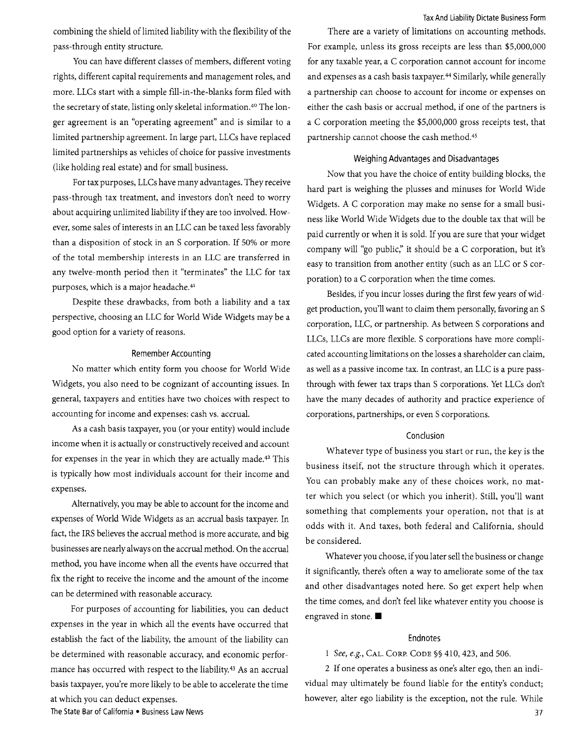Tax And liability Dictate Business Form

combining the shield of limited liability with the flexibility of the pass-through entity structure.

You can have different classes of members, different voting rights, different capital requirements and management roles, and more. LLCs start with a simple fill-in-the-blanks form filed with the secretary of state, listing only skeletal information.<sup>40</sup> The longer agreement is an "operating agreement" and is similar to a limited partnership agreement. In large part, LLCs have replaced limited partnerships as vehicles of choice for passive investments (like holding real estate) and for small business.

For tax purposes, LLCs have many advantages. They receive pass-through tax treatment, and investors don't need to worry about acquiring unlimited liability if they are too involved. However, some sales of interests in an LLC can be taxed less favorably than a disposition of stock in an S corporation. If 50% or more of the total membership interests in an LLC are transferred in any twelve-month period then it "terminates" the LLC for tax purposes, which is a major headache.<sup>41</sup>

Despite these drawbacks, from both a liability and a tax perspective, choosing an LLC for World Wide Widgets may be a good option for a variety of reasons.

#### Remember Accounting

No matter which entity form you choose for World Wide Widgets, you also need to be cognizant of accounting issues. In general, taxpayers and entities have two choices with respect to accounting for income and expenses: cash vs. accrual.

As a cash basis taxpayer, you (or your entity) would include income when it is actually or constructively received and account for expenses in the year in which they are actually made.42 This is typically how most individuals account for their income and expenses.

Alternatively, you may be able to account for the income and expenses of World Wide Widgets as an accrual basis taxpayer. In fact, the IRS believes the accrual method is more accurate, and big businesses are nearly always on the accrual method. On the accrual method, you have income when all the events have occurred that fix the right to receive the income and the amount of the income can be determined with reasonable accuracy.

For purposes of accounting for liabilities, you can deduct expenses in the year in which all the events have occurred that establish the fact of the liability, the amount of the liability can be determined with reasonable accuracy, and economic performance has occurred with respect to the liability.43 As an accrual basis taxpayer, you're more likely to be able to accelerate the time at which you can deduct expenses.

There are a variety of limitations on accounting methods. For example, unless its gross receipts are less than \$5,000,000 for any taxable year, a C corporation cannot account for income and expenses as a cash basis taxpayer.<sup>44</sup> Similarly, while generally a partnership can choose to account for income or expenses on either the cash basis or accrual method, if one of the partners is a C corporation meeting the \$5,000,000 gross receipts test, that partnership cannot choose the cash method.45

#### Weighing Advantages and Disadvantages

Now that you have the choice of entity building blocks, the hard part is weighing the plusses and minuses for World Wide Widgets. A C corporation may make no sense for a small business like World Wide Widgets due to the double tax that will be paid currently or when it is sold. If you are sure that your widget company will "go public," it should be a C corporation, but it's easy to transition from another entity (such as an LLC or S corporation) to a C corporation when the time comes.

Besides, if you incur losses during the first few years of widget production, you'll want to claim them personally, favoring an S corporation, LLC, or partnership. As between S corporations and LLCs, LLCs are more flexible. S corporations have more complicated accounting limitations on the losses a shareholder can claim, as well as a passive income tax. In contrast, an LLC is a pure passthrough with fewer tax traps than S corporations. Yet LLCs don't have the many decades of authority and practice experience of corporations, partnerships, or even S corporations.

### Conclusion

Whatever type of business you start or run, the key is the business itself, not the structure through which it operates. You can probably make any of these choices work, no matter which you select (or which you inherit). Still, you'll want something that complements your operation, not that is at odds with it. And taxes, both federal and California, should be considered.

Whatever you choose, if you later sell the business or change it significantly, there's often a way to ameliorate some of the tax and other disadvantages noted here. So get expert help when the time comes, and don't feel like whatever entity you choose is engraved in stone.  $\blacksquare$ 

#### Endnotes

### 1 *See, e.g.,* CAL. CORP. CODE §§ 410, 423, and 506.

2 If one operates a business as one's alter ego, then an individual may ultimately be found liable for the entity's conduct; however, alter ego liability is the exception, not the rule. While

The State Bar of California . Business Law News